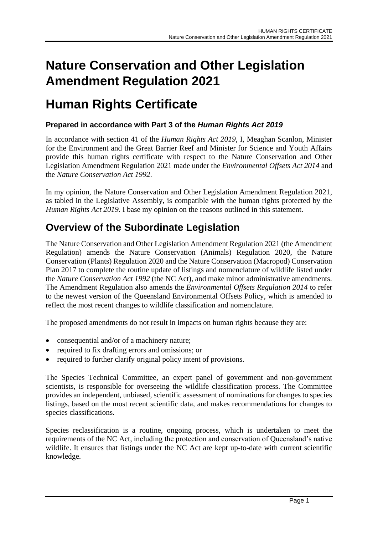# **Nature Conservation and Other Legislation Amendment Regulation 2021**

## **Human Rights Certificate**

#### **Prepared in accordance with Part 3 of the** *Human Rights Act 2019*

In accordance with section 41 of the *Human Rights Act 2019*, I, Meaghan Scanlon, Minister for the Environment and the Great Barrier Reef and Minister for Science and Youth Affairs provide this human rights certificate with respect to the Nature Conservation and Other Legislation Amendment Regulation 2021 made under the *Environmental Offsets Act 2014* and the *Nature Conservation Act 1992*.

In my opinion, the Nature Conservation and Other Legislation Amendment Regulation 2021, as tabled in the Legislative Assembly, is compatible with the human rights protected by the *Human Rights Act 2019*. I base my opinion on the reasons outlined in this statement.

### **Overview of the Subordinate Legislation**

The Nature Conservation and Other Legislation Amendment Regulation 2021 (the Amendment Regulation) amends the Nature Conservation (Animals) Regulation 2020, the Nature Conservation (Plants) Regulation 2020 and the Nature Conservation (Macropod) Conservation Plan 2017 to complete the routine update of listings and nomenclature of wildlife listed under the *Nature Conservation Act 1992* (the NC Act), and make minor administrative amendments. The Amendment Regulation also amends the *Environmental Offsets Regulation 2014* to refer to the newest version of the Queensland Environmental Offsets Policy, which is amended to reflect the most recent changes to wildlife classification and nomenclature.

The proposed amendments do not result in impacts on human rights because they are:

- consequential and/or of a machinery nature;
- required to fix drafting errors and omissions; or
- required to further clarify original policy intent of provisions.

The Species Technical Committee, an expert panel of government and non-government scientists, is responsible for overseeing the wildlife classification process. The Committee provides an independent, unbiased, scientific assessment of nominations for changes to species listings, based on the most recent scientific data, and makes recommendations for changes to species classifications.

Species reclassification is a routine, ongoing process, which is undertaken to meet the requirements of the NC Act, including the protection and conservation of Queensland's native wildlife. It ensures that listings under the NC Act are kept up-to-date with current scientific knowledge.